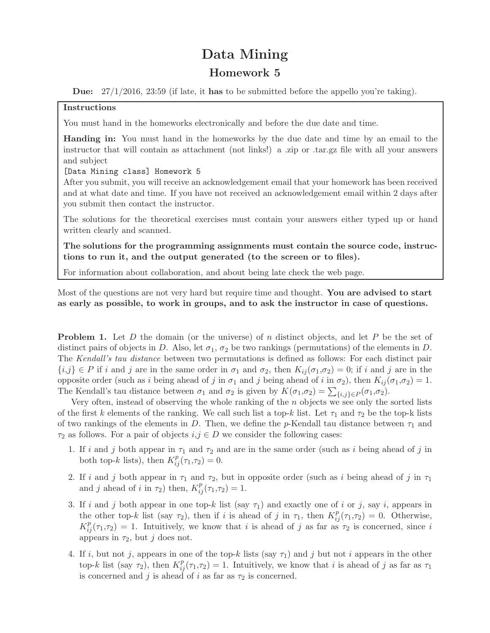## Data Mining

## Homework 5

**Due:**  $27/1/2016$ ,  $23:59$  (if late, it has to be submitted before the appello you're taking).

## Instructions

You must hand in the homeworks electronically and before the due date and time.

Handing in: You must hand in the homeworks by the due date and time by an email to the instructor that will contain as attachment (not links!) a .zip or .tar.gz file with all your answers and subject

[Data Mining class] Homework 5

After you submit, you will receive an acknowledgement email that your homework has been received and at what date and time. If you have not received an acknowledgement email within 2 days after you submit then contact the instructor.

The solutions for the theoretical exercises must contain your answers either typed up or hand written clearly and scanned.

The solutions for the programming assignments must contain the source code, instructions to run it, and the output generated (to the screen or to files).

For information about collaboration, and about being late check the web page.

Most of the questions are not very hard but require time and thought. You are advised to start as early as possible, to work in groups, and to ask the instructor in case of questions.

**Problem 1.** Let D the domain (or the universe) of n distinct objects, and let P be the set of distinct pairs of objects in D. Also, let  $\sigma_1$ ,  $\sigma_2$  be two rankings (permutations) of the elements in D. The Kendall's tau distance between two permutations is defined as follows: For each distinct pair  ${i,j} \in P$  if i and j are in the same order in  $\sigma_1$  and  $\sigma_2$ , then  $K_{ij}(\sigma_1,\sigma_2) = 0$ ; if i and j are in the opposite order (such as i being ahead of j in  $\sigma_1$  and j being ahead of i in  $\sigma_2$ ), then  $K_{ij}(\sigma_1,\sigma_2)=1$ . The Kendall's tau distance between  $\sigma_1$  and  $\sigma_2$  is given by  $K(\sigma_1, \sigma_2) = \sum_{\{i,j\} \in P} (\sigma_1, \sigma_2)$ .

Very often, instead of observing the whole ranking of the n objects we see only the sorted lists of the first k elements of the ranking. We call such list a top-k list. Let  $\tau_1$  and  $\tau_2$  be the top-k lists of two rankings of the elements in D. Then, we define the p-Kendall tau distance between  $\tau_1$  and  $\tau_2$  as follows. For a pair of objects  $i, j \in D$  we consider the following cases:

- 1. If i and j both appear in  $\tau_1$  and  $\tau_2$  and are in the same order (such as i being ahead of j in both top-k lists), then  $K_{ij}^p(\tau_1,\tau_2)=0$ .
- 2. If i and j both appear in  $\tau_1$  and  $\tau_2$ , but in opposite order (such as i being ahead of j in  $\tau_1$ ) and j ahead of i in  $\tau_2$ ) then,  $K_{ij}^p(\tau_1,\tau_2)=1$ .
- 3. If i and j both appear in one top-k list (say  $\tau_1$ ) and exactly one of i or j, say i, appears in the other top-k list (say  $\tau_2$ ), then if i is ahead of j in  $\tau_1$ , then  $K_{ij}^p(\tau_1,\tau_2) = 0$ . Otherwise,  $K_{ij}^p(\tau_1,\tau_2) = 1$ . Intuitively, we know that i is ahead of j as far as  $\tau_2$  is concerned, since i appears in  $\tau_2$ , but j does not.
- 4. If i, but not j, appears in one of the top-k lists (say  $\tau_1$ ) and j but not i appears in the other top-k list (say  $\tau_2$ ), then  $K_{ij}^p(\tau_1,\tau_2)=1$ . Intuitively, we know that i is ahead of j as far as  $\tau_1$ is concerned and j is ahead of i as far as  $\tau_2$  is concerned.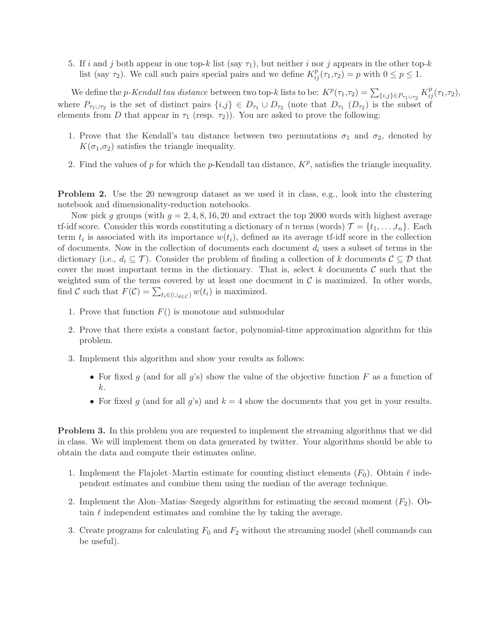5. If i and j both appear in one top-k list (say  $\tau_1$ ), but neither i nor j appears in the other top-k list (say  $\tau_2$ ). We call such pairs special pairs and we define  $K_{ij}^p(\tau_1,\tau_2) = p$  with  $0 \le p \le 1$ .

We define the *p*-Kendall tau distance between two top-k lists to be:  $K^p(\tau_1, \tau_2) = \sum_{\{i,j\} \in P_{\tau_1 \cup \tau_2}} K^p_{ij}(\tau_1, \tau_2)$ , where  $P_{\tau_1\cup\tau_2}$  is the set of distinct pairs  $\{i,j\}\in D_{\tau_1}\cup D_{\tau_2}$  (note that  $D_{\tau_1}(D_{\tau_2})$  is the subset of elements from D that appear in  $\tau_1$  (resp.  $\tau_2$ )). You are asked to prove the following:

- 1. Prove that the Kendall's tau distance between two permutations  $\sigma_1$  and  $\sigma_2$ , denoted by  $K(\sigma_1,\sigma_2)$  satisfies the triangle inequality.
- 2. Find the values of p for which the p-Kendall tau distance,  $K^p$ , satisfies the triangle inequality.

**Problem 2.** Use the 20 newsgroup dataset as we used it in class, e.g., look into the clustering notebook and dimensionality-reduction notebooks.

Now pick g groups (with  $q = 2, 4, 8, 16, 20$  and extract the top 2000 words with highest average tf-idf score. Consider this words constituting a dictionary of n terms (words)  $\mathcal{T} = \{t_1, \ldots, t_n\}$ . Each term  $t_i$  is associated with its importance  $w(t_i)$ , defined as its average tf-idf score in the collection of documents. Now in the collection of documents each document  $d_i$  uses a subset of terms in the dictionary (i.e.,  $d_i \subseteq \mathcal{T}$ ). Consider the problem of finding a collection of k documents  $\mathcal{C} \subseteq \mathcal{D}$  that cover the most important terms in the dictionary. That is, select k documents  $\mathcal C$  such that the weighted sum of the terms covered by at least one document in  $\mathcal C$  is maximized. In other words, find C such that  $F(\mathcal{C}) = \sum_{t_i \in (\bigcup_{d \in \mathcal{C}})} w(t_i)$  is maximized.

- 1. Prove that function  $F()$  is monotone and submodular
- 2. Prove that there exists a constant factor, polynomial-time approximation algorithm for this problem.
- 3. Implement this algorithm and show your results as follows:
	- For fixed g (and for all g's) show the value of the objective function F as a function of k.
	- For fixed q (and for all q's) and  $k = 4$  show the documents that you get in your results.

Problem 3. In this problem you are requested to implement the streaming algorithms that we did in class. We will implement them on data generated by twitter. Your algorithms should be able to obtain the data and compute their estimates online.

- 1. Implement the Flajolet–Martin estimate for counting distinct elements  $(F_0)$ . Obtain  $\ell$  independent estimates and combine them using the median of the average technique.
- 2. Implement the Alon–Matias–Szegedy algorithm for estimating the second moment  $(F_2)$ . Obtain  $\ell$  independent estimates and combine the by taking the average.
- 3. Create programs for calculating  $F_0$  and  $F_2$  without the streaming model (shell commands can be useful).